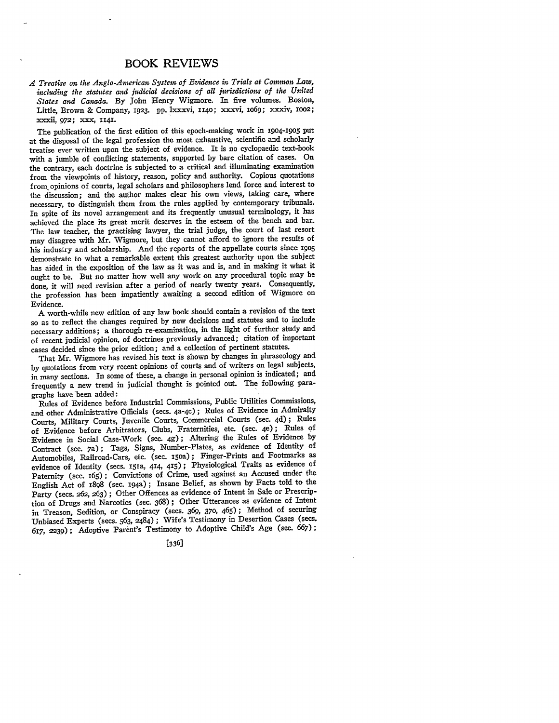*A Treatise on the Anglo-A merican System of Evidence in Trials at Common Law, inchding the statutes and judicial decisions of all jurisdictions of the United States and Canada.* By John Henry Wigmore. In five volumes. Boston, Little, Brown & Company, **1923. pp.** lxxxvi, **1i4o;** xxxvi, *io6g;* xxxiv, **ioo2;** xxxii, **972;** xxx, **1141.**

The publication of the first edition of this epoch-making work in 1904-I9o5 Put at the disposal of the legal profession the most exhaustive, scientific and scholarly treatise ever written upon the subject of evidence. It is no cyclopaedic text-book with a jumble of conflicting statements, supported by bare citation of cases. On the contrary, each doctrine is subjected to a critical and illuminating examination from the viewpoints of history, reason, policy and authority. Copious quotations from opinions of courts, legal scholars and philosophers lend force and interest to the discussion; and the author makes clear his own views, taking care, where necessary, to distinguish them from the rules applied by contemporary tribunals. In spite of its novel arrangement and its frequently unusual terminology, it has achieved the place its great merit deserves in the esteem of the bench and bar. The law teacher, the practising lawyer, the trial judge, the court of last resort may disagree with Mr. Wigmore, but they cannot afford to ignore the results of his industry and scholarship. And the reports of the appellate courts since 19o5 demonstrate to what a remarkable extent this greatest authority upon the subject has aided in the exposition of the law as it was and is, and in making it what it ought to be. But no matter how well any work on any procedural topic may be done, it will need revision after a period of nearly twenty years. Consequently, the profession has been impatiently awaiting a second edition of Wigmore on Evidence.

A worth-while nev edition of any law book should contain a revision of the text so as to reflect the changes required by new decisions and statutes and to include necessary additions; a thorough re-examination, in the light of further study and of recent judicial opinion, of doctrines previously advanced; citation of important cases decided since the prior edition; and a collection **of** pertinent statutes.

That Mr. Wigmore has revised his text is shown by changes in phraseology and by quotations from very recent opinions of courts and of writers on legal subjects, in many sections. In some of these, a change in personal opinion is indicated; and frequently a new trend in judicial thought is pointed out. The following paragraphs have'been added:

Rules of Evidence before Industrial Commissions, Public Utilities Commissions, and other Administrative Officials (secs. 4a-4c); Rules of Evidence in Admiralty Courts, Military Courts, Juvenile Courts, Commercial Courts (sec. 4d); Rules of Evidence before Arbitrators, Clubs, Fraternities, etc. (sec. 4e) ; Rules of Evidence in Social Case-Work (sec. 4g); Altering the Rules of Evidence by Contract (sec. 7a); Tags, Signs, Number-Plates, as evidence of Identity of Automobiles, Railroad-Cars, etc. (sec. 1soa); Finger-Prints and Footmarks as evidence of Identity (secs. **151a,** 414, 415) **;** Physiological Traits as evidence of Paternity (sec. **x65)** ; Convictions of Crime, used against an Accused under the English Act of 1898 (sec. Ig4a) ; Insane Belief, as shown by Facts told to the Party (secs. *262,* 263) ; Other Offences as evidence of Intent in Sale or Prescription of Drugs and Narcotics (sec. 368) ; Other Utterances as evidence of Intent in Treason, Sedition, or Conspiracy (secs. *369, 370,* 465); Method of securing Unbiased Experts (secs. 563, 2484) **;** Wife's Testimony in Desertion Cases (secs. 617, **2239);** Adoptive Parent's Testimony to Adoptive Child's Age (see. 667);

(336]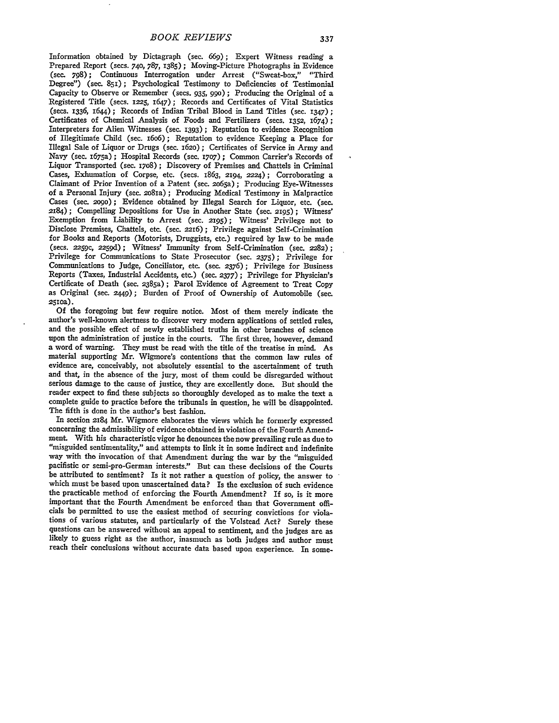Information obtained by Dictagraph (sec. **669);** Expert Witness reading a Prepared Report (secs. 740, 787, **1385) ;** Moving-Picture Photographs in Evidence (sec. 798); Continuous Interrogation under Arrest ("Sweat-box," "Third Degree") (sec. 851); Psychological Testimony to Deficiencies of Testimonial Capacity to Observe or Remember (secs. 935, 990); Producing the Original of a Registered Title (secs. 1225, 1647); Records and Certificates of Vital Statistics (secs. 1336, i644) **;** Records of Indian Tribal Blood in Land Titles (sec. 1347) **;** Certificates of Chemical Analysis of Foods and Fertilizers (secs. **1352,** 1674); Interpreters for Alien Witnesses (sec. 1393) **;** Reputation to evidence Recognition of Illegitimate Child (sec. 16o6); Reputation to evidence Keeping a Place for Illegal Sale of Liquor or Drugs (sec. i62o) ; Certificates of Service in Army and Navy (sec. i675a); Hospital Records (sec. **17o7);** Common Carrier's Records of Liquor Transported (sec. i7o8) ; Discovery of Premises and Chattels in Criminal Cases, Exhumation of Corpse, etc. (secs. 1863, 2194, **2224);** Corroborating a Claimant of Prior Invention of a Patent (sec. 2o65a) ; Producing Eye-Witnesses of a Personal Injury (sec. 2o81a) ; Producing Medical Testimony in Malpractice Cases (sec. 2090); Evidence obtained by Illegal Search for Liquor, etc. (sec. 2184) **;** Compelling Depositions for Use in Another State (sec. 2195) **;** Witness' Exemption from Liability to Arrest (sec. 2195); Witness' Privilege not to Disclose Premises, Chattels, etc. (sec. 2216); Privilege against Self-Crimination for Books and Reports (Motorists, Druggists, etc.) required by law to be made (secs. 2259c, **2259d);** Witness' Immunity from Self-Crimination (sec. **2282);** Privilege for Communications to State Prosecutor (sec. **2375);** Privilege for Communications to Judge, Conciliator, etc. (sec. 2376); Privilege for Business Reports (Taxes, Industrial Accidents, etc.) (sec. **2377) ;** Privilege for Physician's as Original (sec. 2449); Burden of Proof of Ownership of Automobile (sec. **25ioa).**

Of the foregoing but few require notice. Most of them merely indicate the author's well-known alertness to discover very modern applications of settled rules, and the possible effect of newly established truths in other branches of science upon the administration of justice in the courts. The first three, however, demand a word of warning. They must be read with the title of the treatise in mind. As material supporting Mr. Wigmore's contentions that the common law rules **of** evidence are, conceivably, not absolutely essential to the ascertainment of truth and that, in the absence of the jury, most of them could be disregarded without serious damage to the cause of justice, they are excellently done. But should the reader expect to find these subjects so thoroughly developed as to make the text a complete guide to practice before the tribunals in question, he will be disappointed. The fifth is done in the author's best fashion.

In section 2184 Mr. Wigmore elaborates the views which he formerly expressed concerning the admissibility of evidence obtained in violation of the Fourth Amendment. With his characteristic vigor he denounces the now prevailing rule as due to "misguided sentimentality," and attempts to link it in some indirect and indefinite way with the invocation of that Amendment during the war **by** the "misguided pacifistic or semi-pro-German interests." But can these decisions of the Courts be attributed to sentiment? Is it not rather a question of policy, the answer to which must be based upon unascertained data? Is the exclusion of such evidence the practicable method of enforcing the Fourth Amendment? If so, is it more important that the Fourth Amendment be enforced than that Government officials **be** permitted to use the easiest method of securing convictions for violations of various statutes, and particularly of the Volstead Act? Surely these questions can be answered without an appeal to sentiment, and the judges are as likely to guess right as the author, inasmuch as both judges and author must reach their conclusions without accurate data based upon experience. In some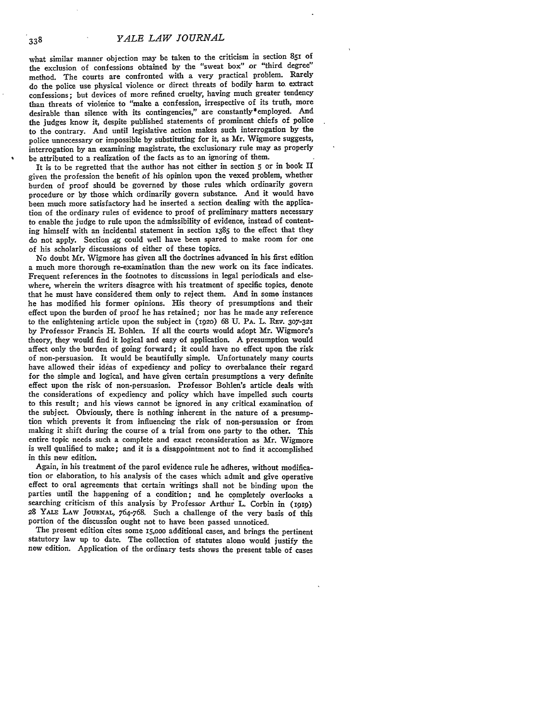what similar manner objection may be taken to the criticism in section 85I of the exclusion of confessions obtained **by** the "sweat box" or "third degree" method. The courts are confronted with a very practical problem. Rarely do the police use physical violence or direct threats of bodily harm to. extract confessions; but devices of more refined cruelty, having much greater tendency than threats of violeice to "make a confession, irrespective of its truth, more desirable than silence with its contingencies," are constantly\*employed. And the judges know it, despite published statements of prominent chiefs of police to the contrary. And until legislative action makes such interrogation **by** the police unnecessary or impossible **by** substituting for it, as Mr. Wigmore suggests, interrogation **by** an examining magistrate, the exclusionary rule may as properly be attributed to a realization of the facts as to an ignoring of them.

It is to be regretted that the author has not either in section **5** or in book II given the profession the benefit of his opinion upon the vexed problem, whether burden of proof should be governed **by** those rules which ordinarily govern procedure or **by** those which ordinarily govern substance. And it would have been much more satisfactory had he inserted a section dealing with the application of the ordinary rules of evidence to proof of preliminary matters necessary to enable the judge to rule upon the admissibility of evidence, instead of contenting himself with an incidental statement in section **1385** to the effect that they do not apply. Section **4g** could well have been spared to make room for one of his scholarly discussions of either of these topics.

No doubt Mr. Wigmore has given all the doctrines advanced in his first edition a much more thorough re-examination than the new work on its face indicates. Frequent references in the footnotes to discussions in legal periodicals and elsewhere, wherein the writers disagree with his treatment of specific topics, denote that he must have considered them only to reject them. And in some instances he has modified his former opinions. His theory of presumptions' and their effect upon the burden of proof he has retained; nor has he made any reference to the enlightening article upon the subject in (1920) 68 **U.** PA. L. REV. **307-321 by** Professor Francis H. Bohlen. **If** all the courts would adopt Mr. Wigmore's theory, they would find it logical and easy of application. **A** presumption would affect only the burden of going forward; it could have no effect upon the risk of non-persuasion. It would be beautifully simple. Unfortunately many courts have allowed their ideas of expediency and policy to overbalance their regard for the simple and logical, and have given certain presumptions a very definite effect upon the risk of non-persuasion. Professor Bohlen's article deals with the considerations of expediency and policy which have impelled such courts to this result; and his views cannot be ignored in any critical examination of the subject. Obviously, there is nothing inherent in the nature of a presumption which prevents it from influencing the risk of non-persuasion or from making it shift during the course of a trial from one party to the other. This entire topic needs such a complete and exact reconsideration as Mr. Wigmore is well qualified to make; and it is a disappointment not to find it accomplished in this new edition.

Again, in his treatment of the parol evidence rule he adheres, without modification or elaboration, to his analysis of the cases which admit and give operative effect to oral agreements that certain writings shall not be binding upon the parties until the happening of a condition; and he completely overlooks a searching criticism of this analysis by Professor Arthur L. Corbin in (igig) **28 YALE** LAW JOURNAL, **764-768.** Such a challenge of the very basis of this portion of the discussion ought not to have been passed unnoticed.

The present edition cites some I5,ooo additional cases, and brings the pertinent statutory law up to date. The collection of statutes alone would justify the new edition. Application of the ordinary tests shows the present table of cases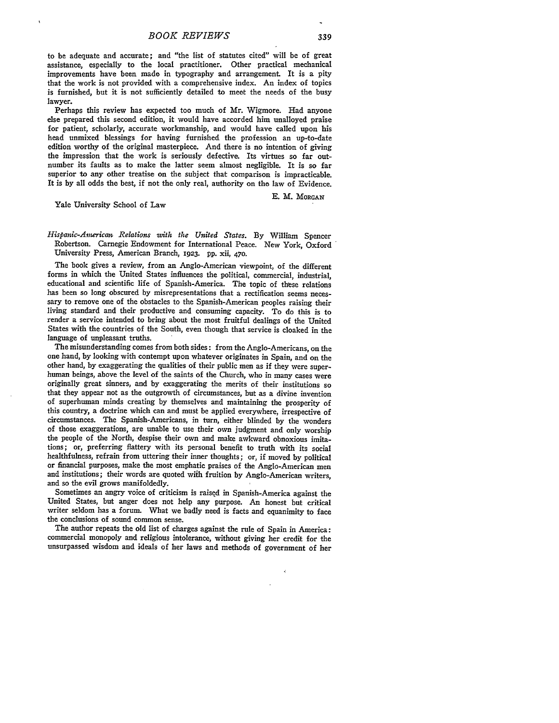to be adequate and accurate; and "the list of statutes cited" will be of great assistance, especially to the local practitioner. Other practical mechanical improvements have been made in typography and arrangement It is a pity that the work is not provided with a comprehensive index. An index of topics is furnished, but it is not sufficiently detailed to meet the needs of the busy lawyer.

Perhaps this review has expected too much of Mr. Wigmore. Had anyone else prepared this second edition, it would have accorded him unalloyed praise for patient, scholarly, accurate workmanship, and would have called upon his head unmixed blessings for having furnished the profession an up-to-date edition worthy of the original masterpiece. And there is no intention of giving the impression that the work is seriously defective. Its virtues so far outnumber its faults as to make the latter seem almost negligible. It is so far superior to any other treatise on the subject that comparison is impracticable. It is **by** all odds the best, if not the only real, authority on the law of Evidence.

Yale University School of Law

**E.** M. **MORGAN**

*Hispanic-Aierican Relations with the United States.* **By** William Spencer Robertson. Carnegie Endowment for International Peace. New York, Oxford University Press, American Branch, 1923. pp. xii, **470.**

The book gives a review, from an Anglo-American viewpoint, of the different forms in which the United States influences the political, commercial, industrial, educational and scientific life of Spanish-America. The topic of these relations has been so long obscured by misrepresentations that a rectification seems necessary to remove one of the obstacles to the Spanish-American peoples raising their living standard and their productive and consuming capacity. To do this is to render a service intended to bring about the most fruitful dealings of the United States with the countries of the South, even though that service is cloaked in the language of unpleasant truths.

The misunderstanding comes from both sides: from the Anglo-Americans, on the one hand, **by** looking with contempt upon whatever originates in Spain, and on the other hand, **by** exaggerating the qualities of their public men as if they were superhuman beings, above the level of the saints of the Church, who in many cases were originally great sinners, and **by** exaggerating the merits of their institutions so that they appear not as the outgrowth of circumstances, but as a divine invention of superhuman minds creating **by** themselves and maintaining the prosperity of this country, a doctrine which can and must be applied everywhere, irrespective of circumstances. The Spanish-Americans, in turn, either blinded **by** the wonders of those exaggerations, are unable to use their own judgment and only worship the people of the North, despise their own and make awkward obnoxious imitations; or, preferring flattery with its personal benefit to truth with its social healthfulness, refrain from uttering their inner thoughts; or, if moved **by** political or financial purposes, make the most emphatic praises of the Anglo-American men and institutions; their words are quoted wiih fruition **by** Anglo-American writers, and so the evil grows manifoldedly.

Sometimes an angry voice of criticism is raised in Spanish-America against the United States, but anger does not help any purpose. An honest but critical writer seldom has a forum. What we badly need is facts and equanimity to face the conclusions of sound common sense.

The author repeats the old list of charges against the rule of Spain in America: commercial monopoly and religious intolerance, without giving her credit for the unsurpassed wisdom and ideals of her laws and methods of government of her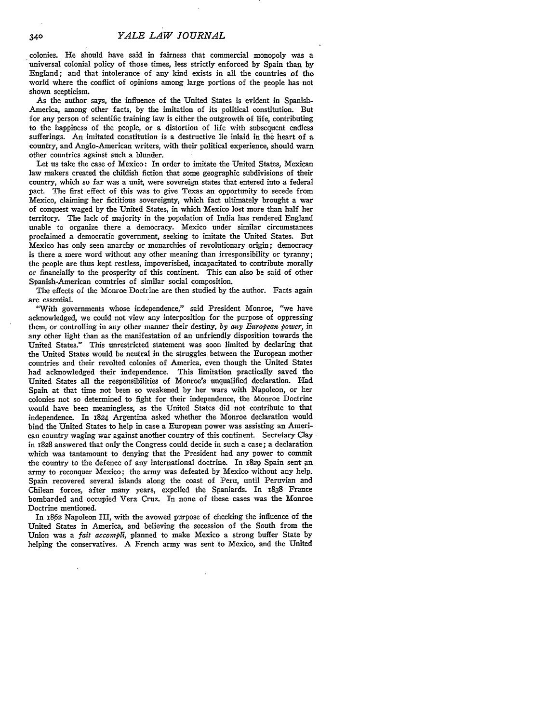colonies. He should have said in fairness that commercial monopoly was a universal colonial policy of those times, less strictly enforced by Spain than by England; and that intolerance of any kind exists in all the countries of the world where the conflict of opinions among large portions of the people has not shown scepticism.

As the author says, the influence of the United States is evident in Spanish-America, among other facts, by the imitation of its political constitution. But for any person of scientific training law is either the outgrowth of life, contributing to the happiness of the people, or a distortion of life with subsequent endless sufferings. An imitated constitution is a destructive lie inlaid in the heart of a country, and Anglo-American writers, with their political experience, should warn other countries against such a blunder.

Let us take the case of Mexico: In order to imitate the United States, Mexican law makers created the childish fiction that some geographic subdivisions of their country, which so far was a unit, were sovereign states that entered into a federal pact. The first effect of this was to give Texas an opportunity to secede from Mexico, claiming her fictitious sovereignty, which fact ultimately brought a war of conquest waged by the United States, in which Mexico lost more than half her territory. The lack of majority in the population of India has rendered England unable to organize there a democracy. Mexico under similar circumstances proclaimed a democratic government, seeking to imitate the United States. But Mexico has only seen anarchy or monarchies of revolutionary origin; democracy is there a mere word without any other meaning than irresponsibility or tyranny; the people are thus kept restless, impoverished, incapacitated to contribute morally or financially to the prosperity of this continent. This can also be said of other Spanish-American countries of similar social composition.

The effects of the Monroe Doctrine are then studied by the author. Facts again are essential.

"With governments whose independence," said President Monroe, "we have acknowledged, we could not view any interposition for the purpose of oppressing them, or controlling in any other manner their destiny, *by any European power, in* any other light than as the manifestation of an unfriendly disposition towards the United States." This unrestricted statement was soon limited by declaring that the United States would be neutral in the struggles between the European mother countries and their revolted colonies of America, even though the United States had acknowledged their independence. This limitation practically saved the United States all the responsibilities of Monroe's unqualified declaration. Had Spain at that time not been so weakened by her wars with Napoleon, or her colonies not so determined to fight for their independence, the Monroe Doctrine would have been meaningless, as the United States did not contribute to that independence. In 1824 Argentina asked whether the Monroe declaration would bind the United States to help in case a European power was assisting an American country waging war against another country of this continent. Secretary Clay in 1828 answered that only the Congress could decide in such a case; a declaration which was tantamount to denying that the President had any power to commit the country to the defence of any international doctrine.. In 1829 Spain sent an army to reconquer Mexico; the army was defeated by Mexico without any help. Spain recovered several islands along the coast of Peru, until Peruvian and Chilean forces, after many years, expelled the Spaniards. In 1838 France bombarded and occupied Vera Cruz. In none of these cases was the Monroe Doctrine mentioned.

In **1862** Napoleon III, with the avowed purpose of checking the influence of the United States in America, and believing the secession of the South from the Union was a *fait accompli,* planned to make Mexico a strong buffer State by helping the conservatives. A French army was sent to Mexico, and the United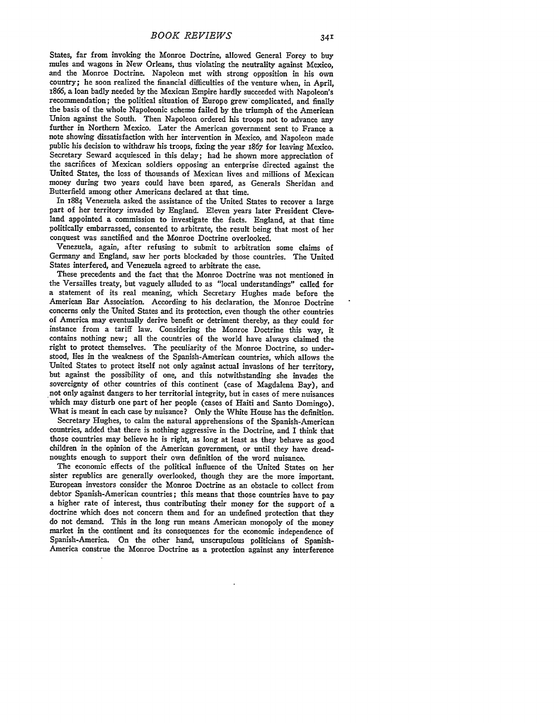States, far from invoking the Monroe Doctrine, allowed General Forey to **buy** mules and wagons in New Orleans, thus violating the neutrality against Mexico, and the Monroe Doctrine. Napoleon met with strong opposition in his own country; he soon realized the financial difficulties of the venture when, in April, 1866, a loan badly needed **by** the Mexican Empire hardly succeeded with Napoleon's recommendation; the political situation of Europe grew complicated, and finally the basis of the whole Napoleonic scheme failed **by** the triumph of the American Union against the South. Then Napoleon ordered his troops not to advance any further in Northern Mexico. Later the American government sent to France a note showing dissatisfaction with her intervention in Mexico, and Napoleon made public his decision to withdraw his troops, fixing the year 1867 for leaving Mexico. Secretary Seward acquiesced in this delay; had he shown more appreciation of the sacrifices of Mexican soldiers opposing an enterprise directed against the United States, the loss of thousands of Mexican lives and millions of Mexican money during two years could have been spared, as Generals Sheridan and Butterfield among other Americans declared at that time.

In 1884 Venezuela asked the assistance of the United States to recover a large part of her territory invaded **by** England. Eleven years later President Cleveland appointed a commission to investigate the facts. England, at that time politically embarrassed, consented to arbitrate, the result being that most of her conquest was sanctified and the Monroe Doctrine overlooked.

Venezuela, again, after refusing to submit to arbitration some claims **of** Germany and England, saw her ports blockaded **by** those countries. The United

These precedents and the fact that the Monroe Doctrine was not mentioned in the Versailles treaty, but vaguely alluded to as "local understandings" called for a statement of its real meaning, which Secretary Hughes made before the American Bar Association. According to his declaration, the Monroe Doctrine concerns only the United States and its protection, even though the other countries of America may eventually derive benefit or detriment thereby, as they could for instance from a tariff law. Considering the Monroe Doctrine this way, it contains nothing new; all the countries of the world have always claimed the right to protect themselves. The peculiarity of the Monroe Doctrine, so understood, lies in the weakness of the Spanish-American countries, which allows the United States to protect itself not only against actual invasions of her territory, but against the possibility of one, and this notwithstanding she invades the sovereignty of other countries of this continent (case of Magdalena Bay), and not only against dangers to her territorial integrity, but in cases of mere nuisances which may disturb one part of her people (cases of Haiti and Santo Domingo). What is meant in each case **by** nuisance? Only the White House has the definition.

Secretary Hughes, to calm the natural apprehensions of the Spanish-American countries, added that there is nothing aggressive in the Doctrine, and I think that those countries may believe he is right, as long at least as they behave as good children in the opinion of the American government, or until they have dreadnoughts enough to support their own definition of the word nuisance.

The economic effects of the political influence of the United States on her sister republics are generally overlooked, though they are the more important. European investors consider the Monroe Doctrine as an obstacle to collect from debtor Spanish-American countries; this means that those countries have to pay<br>a higher rate of interest, thus contributing their money for the support of a<br>doctrine which does not concern them and for an undefined protect do not demand. This in the long run means American monopoly of the money market in the continent and its consequences for the economic independence of Spanish-America. On the other hand, unscrupulous politicians of Spanish-America construe the Monroe Doctrine as a protection against any interference